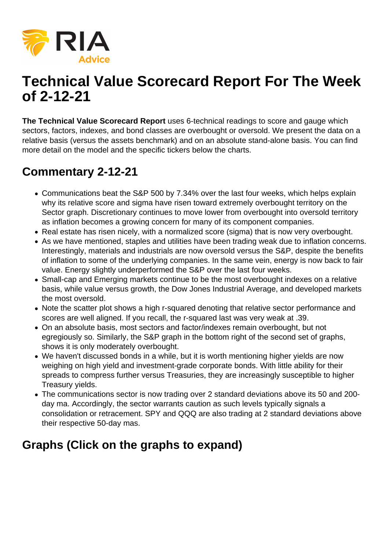

## **Technical Value Scorecard Report For The Week of 2-12-21**

**The Technical Value Scorecard Report** uses 6-technical readings to score and gauge which sectors, factors, indexes, and bond classes are overbought or oversold. We present the data on a relative basis (versus the assets benchmark) and on an absolute stand-alone basis. You can find more detail on the model and the specific tickers below the charts.

## **Commentary 2-12-21**

- Communications beat the S&P 500 by 7.34% over the last four weeks, which helps explain why its relative score and sigma have risen toward extremely overbought territory on the Sector graph. Discretionary continues to move lower from overbought into oversold territory as inflation becomes a growing concern for many of its component companies.
- Real estate has risen nicely, with a normalized score (sigma) that is now very overbought.
- As we have mentioned, staples and utilities have been trading weak due to inflation concerns. Interestingly, materials and industrials are now oversold versus the S&P, despite the benefits of inflation to some of the underlying companies. In the same vein, energy is now back to fair value. Energy slightly underperformed the S&P over the last four weeks.
- Small-cap and Emerging markets continue to be the most overbought indexes on a relative basis, while value versus growth, the Dow Jones Industrial Average, and developed markets the most oversold.
- Note the scatter plot shows a high r-squared denoting that relative sector performance and scores are well aligned. If you recall, the r-squared last was very weak at .39.
- On an absolute basis, most sectors and factor/indexes remain overbought, but not egregiously so. Similarly, the S&P graph in the bottom right of the second set of graphs, shows it is only moderately overbought.
- We haven't discussed bonds in a while, but it is worth mentioning higher yields are now weighing on high yield and investment-grade corporate bonds. With little ability for their spreads to compress further versus Treasuries, they are increasingly susceptible to higher Treasury yields.
- The communications sector is now trading over 2 standard deviations above its 50 and 200 day ma. Accordingly, the sector warrants caution as such levels typically signals a consolidation or retracement. SPY and QQQ are also trading at 2 standard deviations above their respective 50-day mas.

## **Graphs (Click on the graphs to expand)**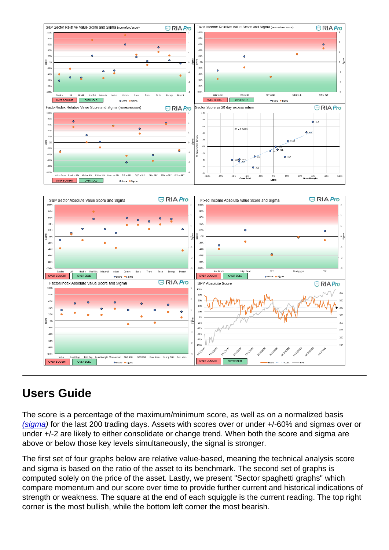## Users Guide

The score is a percentage of the maximum/minimum score, as well as on a normalized basis [\(sigma](https://www.investopedia.com/terms/s/standarddeviation.asp)) for the last 200 trading days. Assets with scores over or under +/-60% and sigmas over or under +/-2 are likely to either consolidate or change trend. When both the score and sigma are above or below those key levels simultaneously, the signal is stronger.

The first set of four graphs below are relative value-based, meaning the technical analysis score and sigma is based on the ratio of the asset to its benchmark. The second set of graphs is computed solely on the price of the asset. Lastly, we present "Sector spaghetti graphs" which compare momentum and our score over time to provide further current and historical indications of strength or weakness. The square at the end of each squiggle is the current reading. The top right corner is the most bullish, while the bottom left corner the most bearish.